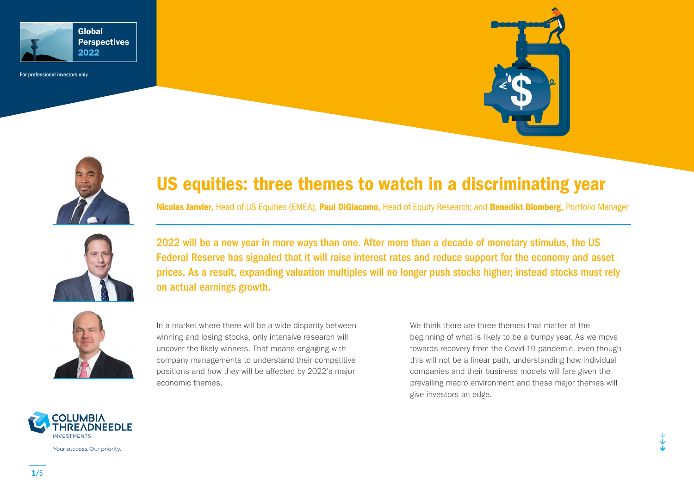

For professional investors only





# US equities: three themes to watch in a discriminating year

Nicolas Janvier, Head of US Equities (EMEA); Paul DiGiacomo, Head of Equity Research; and Benedikt Blomberg, Portfolio Manager



2022 will be a new year in more ways than one. After more than a decade of monetary stimulus, the US Federal Reserve has signaled that it will raise interest rates and reduce support for the economy and asset prices. As a result, expanding valuation multiples will no longer push stocks higher; instead stocks must rely on actual earnings growth.



In a market where there will be a wide disparity between winning and losing stocks, only intensive research will uncover the likely winners. That means engaging with company managements to understand their competitive positions and how they will be affected by 2022's major economic themes.

We think there are three themes that matter at the beginning of what is likely to be a bumpy year. As we move towards recovery from the Covid-19 pandemic, even though this will not be a linear path, understanding how individual companies and their business models will fare given the prevailing macro environment and these major themes will give investors an edge.



Your success. Our priority.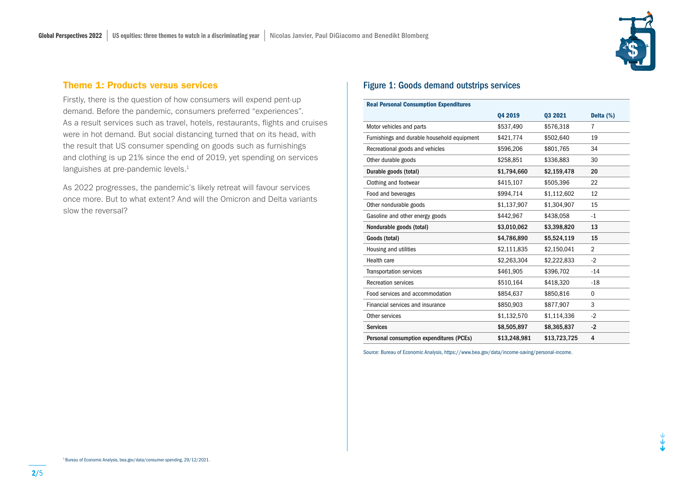

#### Theme 1: Products versus services

Firstly, there is the question of how consumers will expend pent-up demand. Before the pandemic, consumers preferred "experiences". As a result services such as travel, hotels, restaurants, flights and cruises were in hot demand. But social distancing turned that on its head, with the result that US consumer spending on goods such as furnishings and clothing is up 21% since the end of 2019, yet spending on services languishes at pre-pandemic levels.<sup>1</sup>

As 2022 progresses, the pandemic's likely retreat will favour services once more. But to what extent? And will the Omicron and Delta variants slow the reversal?

#### Figure 1: Goods demand outstrips services

| <b>Real Personal Consumption Expenditures</b> |              |              |                |  |  |  |  |
|-----------------------------------------------|--------------|--------------|----------------|--|--|--|--|
|                                               | 04 2019      | 03 2021      | Delta (%)      |  |  |  |  |
| Motor vehicles and parts                      | \$537,490    | \$576,318    | $\overline{7}$ |  |  |  |  |
| Furnishings and durable household equipment   | \$421,774    | \$502,640    | 19             |  |  |  |  |
| Recreational goods and vehicles               | \$596,206    | \$801,765    | 34             |  |  |  |  |
| Other durable goods                           | \$258,851    | \$336,883    | 30             |  |  |  |  |
| Durable goods (total)                         | \$1,794,660  | \$2,159,478  | 20             |  |  |  |  |
| Clothing and footwear                         | \$415,107    | \$505,396    | 22             |  |  |  |  |
| Food and beverages                            | \$994,714    | \$1,112,602  | 12             |  |  |  |  |
| Other nondurable goods                        | \$1,137,907  | \$1,304,907  | 15             |  |  |  |  |
| Gasoline and other energy goods               | \$442,967    | \$438,058    | $-1$           |  |  |  |  |
| Nondurable goods (total)                      | \$3,010,062  | \$3,398,820  | 13             |  |  |  |  |
| Goods (total)                                 | \$4,786,890  | \$5,524,119  | 15             |  |  |  |  |
| Housing and utilities                         | \$2,111,835  | \$2,150,041  | $\overline{2}$ |  |  |  |  |
| Health care                                   | \$2,263,304  | \$2,222,833  | $-2$           |  |  |  |  |
| <b>Transportation services</b>                | \$461,905    | \$396,702    | $-14$          |  |  |  |  |
| <b>Recreation services</b>                    | \$510,164    | \$418,320    | $-18$          |  |  |  |  |
| Food services and accommodation               | \$854,637    | \$850,816    | 0              |  |  |  |  |
| Financial services and insurance              | \$850,903    | \$877,907    | 3              |  |  |  |  |
| Other services                                | \$1,132,570  | \$1,114,336  | $-2$           |  |  |  |  |
| <b>Services</b>                               | \$8,505,897  | \$8,365,837  | $-2$           |  |  |  |  |
| Personal consumption expenditures (PCEs)      | \$13,248,981 | \$13,723,725 | 4              |  |  |  |  |

Source: Bureau of Economic Analysis, https://www.bea.gov/data/income-saving/personal-income.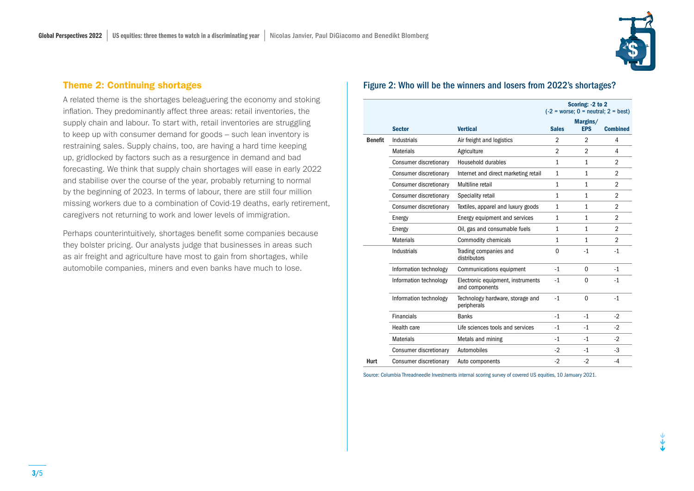

### Theme 2: Continuing shortages

A related theme is the shortages beleaguering the economy and stoking inflation. They predominantly affect three areas: retail inventories, the supply chain and labour. To start with, retail inventories are struggling to keep up with consumer demand for goods – such lean inventory is restraining sales. Supply chains, too, are having a hard time keeping up, gridlocked by factors such as a resurgence in demand and bad forecasting. We think that supply chain shortages will ease in early 2022 and stabilise over the course of the year, probably returning to normal by the beginning of 2023. In terms of labour, there are still four million missing workers due to a combination of Covid-19 deaths, early retirement, caregivers not returning to work and lower levels of immigration.

Perhaps counterintuitively, shortages benefit some companies because they bolster pricing. Our analysts judge that businesses in areas such as air freight and agriculture have most to gain from shortages, while automobile companies, miners and even banks have much to lose.

## Figure 2: Who will be the winners and losers from 2022's shortages?

|                |                        |                                                     | Scoring: -2 to 2<br>$(-2)$ = worse; 0 = neutral; 2 = best) |                        |                 |
|----------------|------------------------|-----------------------------------------------------|------------------------------------------------------------|------------------------|-----------------|
|                | <b>Sector</b>          | <b>Vertical</b>                                     | <b>Sales</b>                                               | Margins/<br><b>EPS</b> | <b>Combined</b> |
| <b>Benefit</b> | Industrials            | Air freight and logistics                           | $\overline{2}$                                             | $\overline{2}$         | 4               |
|                | <b>Materials</b>       | Agriculture                                         | $\overline{2}$                                             | $\overline{2}$         | 4               |
|                | Consumer discretionary | <b>Household durables</b>                           | 1                                                          | 1                      | $\overline{2}$  |
|                | Consumer discretionary | Internet and direct marketing retail                | $\mathbf{1}$                                               | $\mathbf{1}$           | $\overline{2}$  |
|                | Consumer discretionary | Multiline retail                                    | $\mathbf{1}$                                               | $\mathbf{1}$           | $\overline{2}$  |
|                | Consumer discretionary | Speciality retail                                   | $\mathbf{1}$                                               | $\mathbf{1}$           | $\overline{2}$  |
|                | Consumer discretionary | Textiles, apparel and luxury goods                  | $\mathbf{1}$                                               | $\mathbf{1}$           | $\overline{2}$  |
|                | Energy                 | Energy equipment and services                       | $\mathbf{1}$                                               | $\mathbf{1}$           | $\overline{2}$  |
|                | Energy                 | Oil, gas and consumable fuels                       | 1                                                          | $\mathbf{1}$           | $\overline{2}$  |
|                | <b>Materials</b>       | <b>Commodity chemicals</b>                          | 1                                                          | $\mathbf{1}$           | $\overline{2}$  |
|                | Industrials            | Trading companies and<br>distributors               | $\Omega$                                                   | $-1$                   | $-1$            |
|                | Information technology | Communications equipment                            | $-1$                                                       | $\Omega$               | $-1$            |
|                | Information technology | Electronic equipment, instruments<br>and components | $-1$                                                       | $\Omega$               | $-1$            |
|                | Information technology | Technology hardware, storage and<br>peripherals     | $-1$                                                       | $\Omega$               | $-1$            |
|                | <b>Financials</b>      | <b>Banks</b>                                        | $-1$                                                       | $-1$                   | $-2$            |
|                | Health care            | Life sciences tools and services                    | $-1$                                                       | $-1$                   | $-2$            |
|                | <b>Materials</b>       | Metals and mining                                   | $-1$                                                       | $-1$                   | $-2$            |
|                | Consumer discretionary | Automobiles                                         | $-2$                                                       | $-1$                   | $-3$            |
| Hurt           | Consumer discretionary | Auto components                                     | $-2$                                                       | $-2$                   | $-4$            |

Source: Columbia Threadneedle Investments internal scoring survey of covered US equities, 10 Jamuary 2021.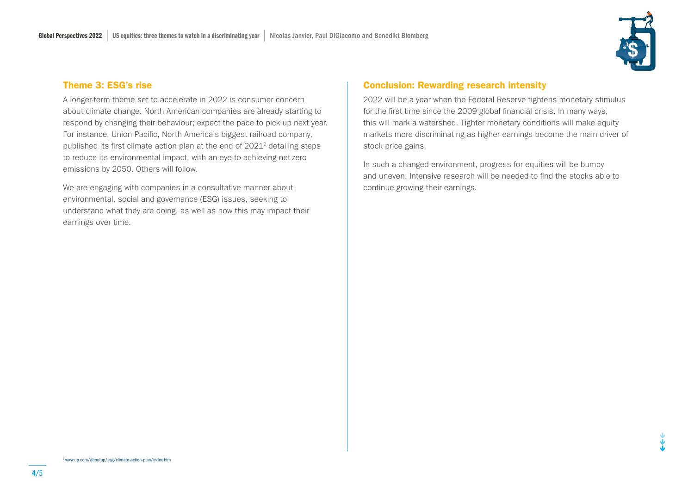

#### Theme 3: ESG's rise

A longer-term theme set to accelerate in 2022 is consumer concern about climate change. North American companies are already starting to respond by changing their behaviour; expect the pace to pick up next year. For instance, Union Pacific, North America's biggest railroad company, published its first climate action plan at the end of 20212 detailing steps to reduce its environmental impact, with an eye to achieving net-zero emissions by 2050. Others will follow.

We are engaging with companies in a consultative manner about environmental, social and governance (ESG) issues, seeking to understand what they are doing, as well as how this may impact their earnings over time.

# Conclusion: Rewarding research intensity

2022 will be a year when the Federal Reserve tightens monetary stimulus for the first time since the 2009 global financial crisis. In many ways, this will mark a watershed. Tighter monetary conditions will make equity markets more discriminating as higher earnings become the main driver of stock price gains.

In such a changed environment, progress for equities will be bumpy and uneven. Intensive research will be needed to find the stocks able to continue growing their earnings.